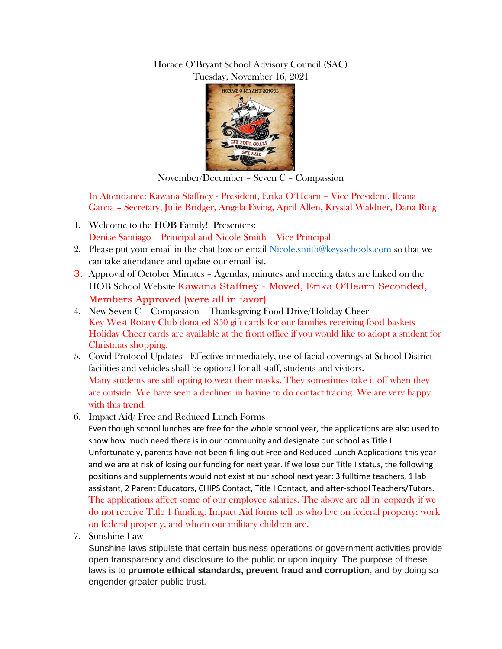## Horace O'Bryant School Advisory Council (SAC) Tuesday, November 16, 2021



November/December – Seven C – Compassion

In Attendance: Kawana Staffney - President, Erika O'Hearn – Vice President, Ileana Garcia – Secretary, Julie Bridger, Angela Ewing, April Allen, Krystal Waldner, Dana Ring

- 1. Welcome to the HOB Family! Presenters: Denise Santiago – Principal and Nicole Smith – Vice-Principal
- 2. Please put your email in the chat box or email [Nicole.smith@keysschools.com](mailto:Nicole.smith@keysschools.com) so that we can take attendance and update our email list.
- 3. Approval of October Minutes Agendas, minutes and meeting dates are linked on the HOB School Website Kawana Staffney - Moved, Erika O'Hearn Seconded, Members Approved (were all in favor)
- 4. New Seven C Compassion Thanksgiving Food Drive/Holiday Cheer Key West Rotary Club donated \$50 gift cards for our families receiving food baskets Holiday Cheer cards are available at the front office if you would like to adopt a student for Christmas shopping.
- 5. Covid Protocol Updates Effective immediately, use of facial coverings at School District facilities and vehicles shall be optional for all staff, students and visitors. Many students are still opting to wear their masks. They sometimes take it off when they are outside. We have seen a declined in having to do contact tracing. We are very happy with this trend.
- 6. Impact Aid/ Free and Reduced Lunch Forms

Even though school lunches are free for the whole school year, the applications are also used to show how much need there is in our community and designate our school as Title I. Unfortunately, parents have not been filling out Free and Reduced Lunch Applications this year and we are at risk of losing our funding for next year. If we lose our Title I status, the following positions and supplements would not exist at our school next year: 3 fulltime teachers, 1 lab assistant, 2 Parent Educators, CHIPS Contact, Title I Contact, and after-school Teachers/Tutors. The applications affect some of our employee salaries. The above are all in jeopardy if we do not receive Title 1 funding. Impact Aid forms tell us who live on federal property; work on federal property, and whom our military children are.

7. Sunshine Law

Sunshine laws stipulate that certain business operations or government activities provide open transparency and disclosure to the public or upon inquiry. The purpose of these laws is to **promote ethical standards, prevent fraud and corruption**, and by doing so engender greater public trust.